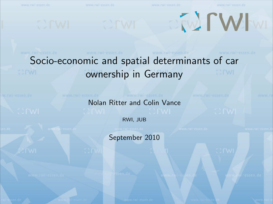

<span id="page-0-0"></span>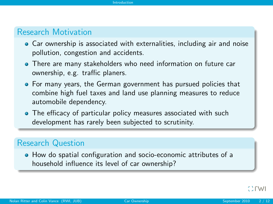## Research Motivation

- Car ownership is associated with externalities, including air and noise pollution, congestion and accidents.
- There are many stakeholders who need information on future car ownership, e.g. traffic planers.
- For many years, the German government has pursued policies that combine high fuel taxes and land use planning measures to reduce automobile dependency.
- The efficacy of particular policy measures associated with such development has rarely been subjected to scrutinity.

## Research Question

<span id="page-1-0"></span>How do spatial configuration and socio-economic attributes of a household influence its level of car ownership?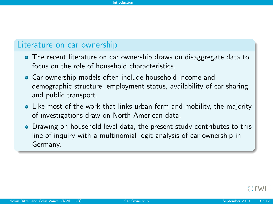## Literature on car ownership

- The recent literature on car ownership draws on disaggregate data to focus on the role of household characteristics.
- Car ownership models often include household income and demographic structure, employment status, availability of car sharing and public transport.
- Like most of the work that links urban form and mobility, the majority of investigations draw on North American data.
- Drawing on household level data, the present study contributes to this line of inquiry with a multinomial logit analysis of car ownership in Germany.

<span id="page-2-0"></span> $\sim$  rw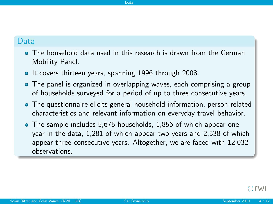## Data

The household data used in this research is drawn from the German Mobility Panel.

<span id="page-3-0"></span>[Data](#page-3-0)

- It covers thirteen years, spanning 1996 through 2008.
- The panel is organized in overlapping waves, each comprising a group of households surveyed for a period of up to three consecutive years.
- The questionnaire elicits general household information, person-related characteristics and relevant information on everyday travel behavior.
- The sample includes 5,675 households, 1,856 of which appear one year in the data, 1,281 of which appear two years and 2,538 of which appear three consecutive years. Altogether, we are faced with 12,032 observations.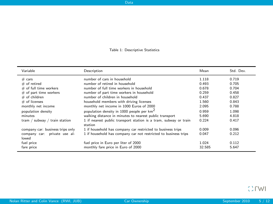#### <span id="page-4-0"></span>Table 1: Descriptive Statistics

[Data](#page-4-0)

| Variable                              | Description                                                                 | Mean   | Std. Dev. |
|---------------------------------------|-----------------------------------------------------------------------------|--------|-----------|
| # cars                                | number of cars in household                                                 | 1.118  | 0.719     |
| $#$ of retired                        | number of retired in household                                              | 0.493  | 0.705     |
| $#$ of full time workers              | number of full time workers in household                                    | 0.678  | 0.704     |
| $#$ of part time workers              | number of part time workers in household                                    | 0.259  | 0.458     |
| $#$ of children                       | number of children in household.                                            | 0.437  | 0.827     |
| $#$ of licenses                       | household members with driving licenses                                     | 1.560  | 0.843     |
| monthly net income                    | monthly net income in 1000 Euros of 2000                                    | 2.095  | 0.788     |
| population density                    | population density in 1000 people per km <sup>2</sup>                       | 0.959  | 1.098     |
| minutes                               | walking distance in minutes to nearest public transport                     | 5.690  | 4.818     |
| tram / subway / train station         | 1 if nearest public transport station is a tram, subway or train<br>station | 0.224  | 0.417     |
| company car: business trips only      | 1 if household has company car restricted to business trips                 | 0.009  | 0.096     |
| company car: private use al-<br>lowed | 1 if household has company car not restricted to business trips             | 0.047  | 0.212     |
| fuel price                            | fuel price in Euro per liter of 2000                                        | 1.024  | 0.112     |
| fare price                            | monthly fare price in Euro of 2000                                          | 32.585 | 5.647     |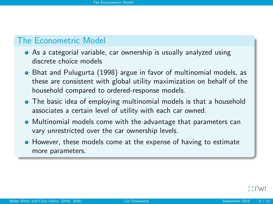## The Econometric Model

- As a categorial variable, car ownership is usually analyzed using discrete choice models
- Bhat and Pulugurta (1998) argue in favor of multinomial models, as these are consistent with global utility maximization on behalf of the household compared to ordered-response models.
- The basic idea of employing multinomial models is that a household associates a certain level of utility with each car owned.
- Multinomial models come with the advantage that parameters can vary unrestricted over the car ownership levels.
- **•** However, these models come at the expense of having to estimate more parameters.

<span id="page-5-0"></span> $\sim$  rwi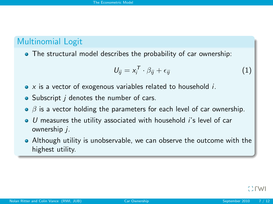# Multinomial Logit

The structural model describes the probability of car ownership:

<span id="page-6-0"></span>
$$
U_{ij} = x_i^T \cdot \beta_{ij} + \epsilon_{ij} \tag{1}
$$

- $\bullet$  x is a vector of exogenous variables related to household *i*.
- Subscript *i* denotes the number of cars.
- $\bullet$   $\beta$  is a vector holding the parameters for each level of car ownership.
- $\bullet$  U measures the utility associated with household *i's* level of car ownership j.
- Although utility is unobservable, we can observe the outcome with the highest utility.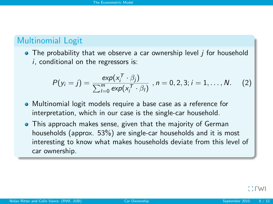# Multinomial Logit

 $\bullet$  The probability that we observe a car ownership level *i* for household  $i$ , conditional on the regressors is:

<span id="page-7-0"></span>
$$
P(y_i = j) = \frac{\exp(x_i^T \cdot \beta_j)}{\sum_{l=0}^{m} \exp(x_i^T \cdot \beta_l)}, n = 0, 2, 3; i = 1, ..., N.
$$
 (2)

- Multinomial logit models require a base case as a reference for interpretation, which in our case is the single-car household.
- This approach makes sense, given that the majority of German households (approx. 53%) are single-car households and it is most interesting to know what makes households deviate from this level of car ownership.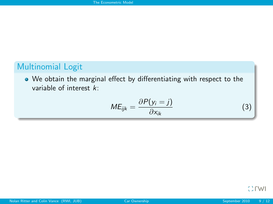# Multinomial Logit

We obtain the marginal effect by differentiating with respect to the variable of interest k:

<span id="page-8-0"></span>
$$
ME_{ijk} = \frac{\partial P(y_i = j)}{\partial x_{ik}} \tag{3}
$$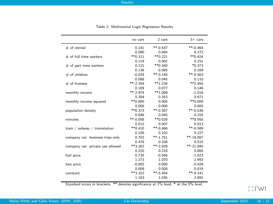#### [Results](#page-9-0)

|                                  | no cars      | 2 cars                  | $3+$ cars               |
|----------------------------------|--------------|-------------------------|-------------------------|
| $#$ of retired                   | 0.141        | $***-0.437$             | $***-0.464$             |
|                                  | 0.090        | 0.084                   | 0.172                   |
| # of full time workers           | $**0.311$    | ** 0.221                | $**0.424$               |
|                                  | 0.119        | 0.082                   | 0.151                   |
| $#$ of part time workers         | 0.121        | ** 0.340                | $*0.373$                |
|                                  | 0.136        | 0.085                   | 0.169                   |
| $#$ of children                  | $-0.024$     | $***-0.140$             | $*$ <sup>*</sup> -0.563 |
|                                  | 0.088        | 0.045                   | 0.110                   |
| $#$ of licenses                  | $***-2.354$  | **1.234                 | $**2.455$               |
|                                  | 0.109        | 0.077                   | 0.146                   |
| monthly income                   | $** - 2.974$ | **1.089                 | $-1.018$                |
|                                  | 0.304        | 0.353                   | 0.671                   |
| monthly income squared           | **0.000      | 0.000                   | $**0.000$               |
|                                  | 0.000        | 0.000                   | 0.000                   |
| population density               | **0.373      | $**-0.307$              | $**-0.536$              |
|                                  | 0.046        | 0.045                   | 0.155                   |
| minutes                          | $**-0.058$   | **0.028                 | **0.055                 |
|                                  | 0.012        | 0.007                   | 0.013                   |
| tram / subway / trainstation     | $**0.410$    | $*$ <sup>*</sup> -0.466 | $***-0.589$             |
|                                  | 0.105        | 0.102                   | 0.227                   |
| company car: business trips only | 0.702        | $***-1.751$             | $***-18.087$            |
|                                  | 0.478        | 0.338                   | 0.515                   |
| company car: private use allowed | **3.282      | $** - 2.929$            | $***-21.945$            |
|                                  | 0.220        | 0.218                   | 0.800                   |
| fuel price                       | 0.735        | $-0.584$                | $-1.023$                |
|                                  | 1.273        | 1.070                   | 2.993                   |
| fare price                       | $-0.002$     | 0.000                   | $-0.029$                |
|                                  | 0.009        | 0.008                   | 0.019                   |
| constant                         | **3.322      | $***-5.454$             | $**-8.141$              |
|                                  | 1.183        | 1.035                   | 2.892                   |

| Table 2: Multinomial Logit Regression Results |  |  |  |
|-----------------------------------------------|--|--|--|
|-----------------------------------------------|--|--|--|

<span id="page-9-0"></span>Standard errors in brackets. \*\* denotes significance at 1% level, \* at the 5% level.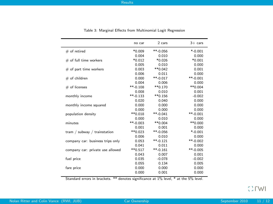|                                  | no car                  | 2 cars      | $3+$ cars   |
|----------------------------------|-------------------------|-------------|-------------|
| $#$ of retired                   | $*0.009$                | $***-0.056$ | $*$ -0.001  |
|                                  | 0.004                   | 0.010       | 0.000       |
| $#$ of full time workers         | *0.012                  | $*0.026$    | $*0.001$    |
|                                  | 0.005                   | 0.010       | 0.000       |
| $#$ of part time workers         | 0.003                   | **0.042     | 0.001       |
|                                  | 0.006                   | 0.011       | 0.000       |
| $#$ of children                  | 0.000                   | $***-0.017$ | $**-0.001$  |
|                                  | 0.004                   | 0.006       | 0.000       |
| $#$ of licenses                  | $*$ -0.108              | $**0.170$   | $**0.004$   |
|                                  | 0.008                   | 0.010       | 0.001       |
| monthly income                   | $*$ <sup>*</sup> -0.133 | $**0.156$   | $-0.002$    |
|                                  | 0.020                   | 0.040       | 0.000       |
| monthly income squared           | 0.000                   | 0.000       | 0.000       |
|                                  | 0.000                   | 0.000       | 0.000       |
| population density               | $**0.018$               | $***-0.041$ | $**-0.001$  |
|                                  | 0.000                   | 0.010       | 0.000       |
| minutes                          | $**-0.003$              | **0.004     | $**0.000$   |
|                                  | 0.001                   | 0.001       | 0.000       |
| tram / subway / trainstation     | **0.023                 | $***-0.056$ | $*$ -0.001  |
|                                  | 0.006                   | 0.010       | 0.000       |
| company car: business trips only | 0.053                   | $***-0.121$ | $**-0.002$  |
|                                  | 0.041                   | 0.011       | 0.000       |
| company car: private use allowed | $**0.517$               | $***-0.161$ | $***-0.005$ |
|                                  | 0.043                   | 0.007       | 0.001       |
| fuel price                       | 0.035                   | $-0.078$    | $-0.002$    |
|                                  | 0.055                   | 0.134       | 0.005       |
| fare price                       | 0.000                   | 0.000       | 0.000       |
|                                  | 0.000                   | 0.001       | 0.000       |

Table 3: Marginal Effects from Multinomial Logit Regression

Standard errors in brackets. \*\* denotes significance at 1% level, \* at the 5% level.

<span id="page-10-0"></span>Crwl